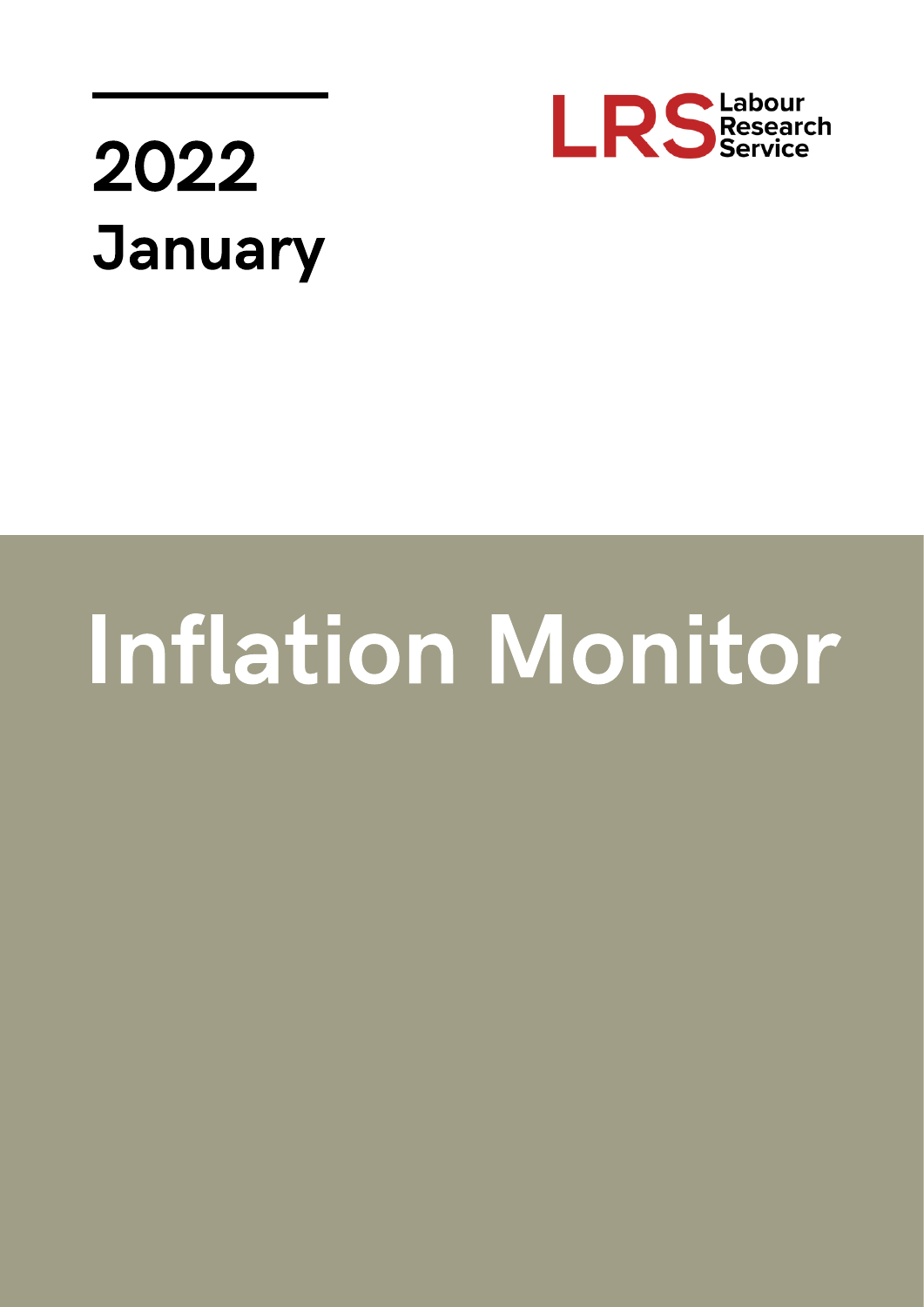

## 2022 **January**

# **Inflation Monitor**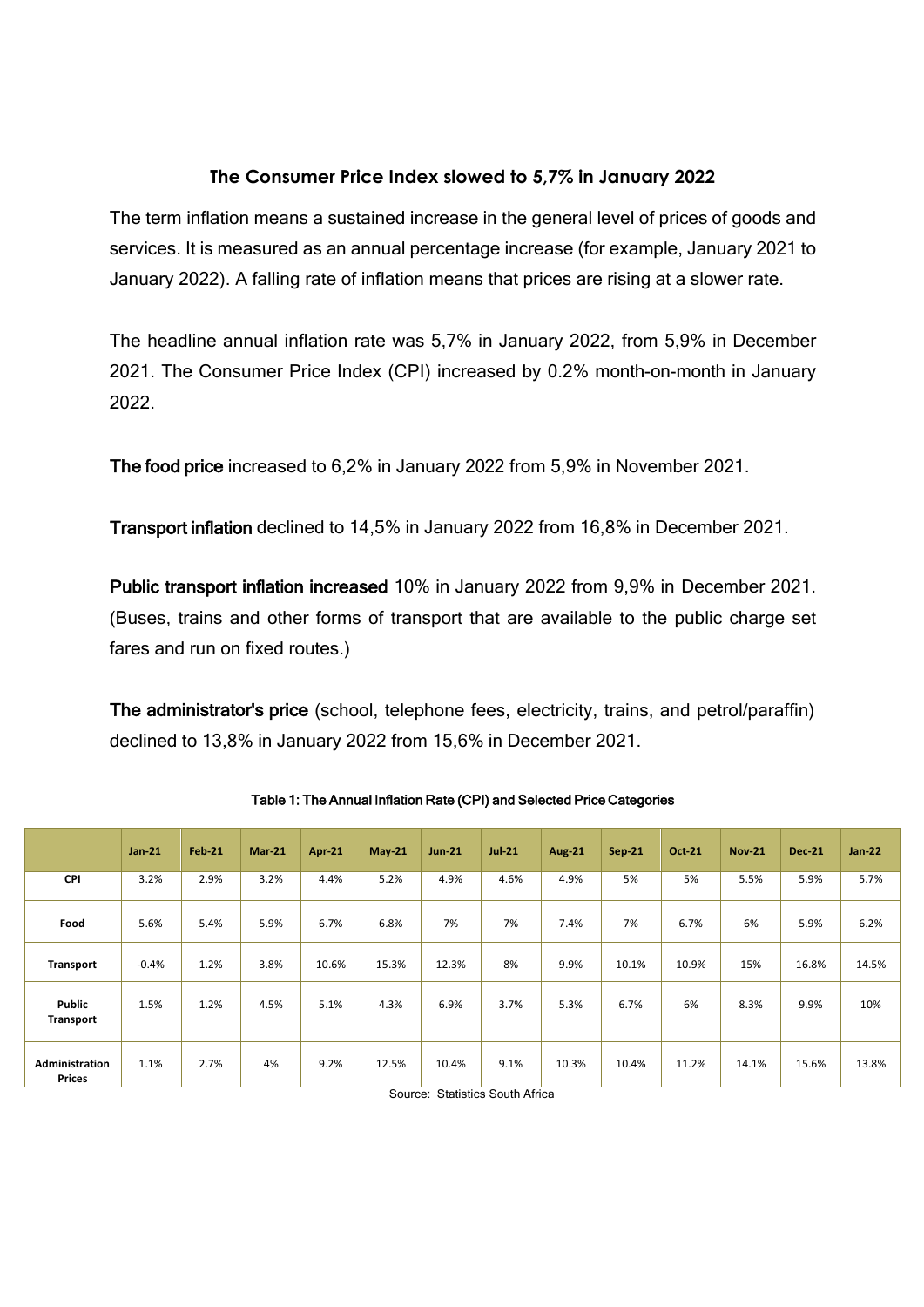### **The Consumer Price Index slowed to 5,7% in January 2022**

The term inflation means a sustained increase in the general level of prices of goods and services. It is measured as an annual percentage increase (for example, January 2021 to January 2022). A falling rate of inflation means that prices are rising at a slower rate.

The headline annual inflation rate was 5,7% in January 2022, from 5,9% in December 2021. The Consumer Price Index (CPI) increased by 0.2% month-on-month in January 2022.

The food price increased to 6,2% in January 2022 from 5,9% in November 2021.

Transport inflation declined to 14,5% in January 2022 from 16,8% in December 2021.

Public transport inflation increased 10% in January 2022 from 9,9% in December 2021. (Buses, trains and other forms of transport that are available to the public charge set fares and run on fixed routes.)

The administrator's price (school, telephone fees, electricity, trains, and petrol/paraffin) declined to 13,8% in January 2022 from 15,6% in December 2021.

|                                        | $Jan-21$ | <b>Feb-21</b> | $Mar-21$ | <b>Apr-21</b> | $May-21$ | <b>Jun-21</b> | $Jul-21$  | <b>Aug-21</b> | <b>Sep-21</b> | <b>Oct-21</b> | <b>Nov-21</b> | <b>Dec-21</b> | $Jan-22$ |
|----------------------------------------|----------|---------------|----------|---------------|----------|---------------|-----------|---------------|---------------|---------------|---------------|---------------|----------|
| <b>CPI</b>                             | 3.2%     | 2.9%          | 3.2%     | 4.4%          | 5.2%     | 4.9%          | 4.6%      | 4.9%          | 5%            | 5%            | 5.5%          | 5.9%          | 5.7%     |
| Food                                   | 5.6%     | 5.4%          | 5.9%     | 6.7%          | 6.8%     | 7%            | 7%        | 7.4%          | 7%            | 6.7%          | 6%            | 5.9%          | 6.2%     |
| Transport                              | $-0.4%$  | 1.2%          | 3.8%     | 10.6%         | 15.3%    | 12.3%         | 8%        | 9.9%          | 10.1%         | 10.9%         | 15%           | 16.8%         | 14.5%    |
| Public<br>Transport                    | 1.5%     | 1.2%          | 4.5%     | 5.1%          | 4.3%     | 6.9%          | 3.7%      | 5.3%          | 6.7%          | 6%            | 8.3%          | 9.9%          | 10%      |
| <b>Administration</b><br><b>Prices</b> | 1.1%     | 2.7%          | 4%       | 9.2%          | 12.5%    | 10.4%<br>_ _  | 9.1%<br>. | 10.3%         | 10.4%         | 11.2%         | 14.1%         | 15.6%         | 13.8%    |

Table 1: The Annual Inflation Rate (CPI) and Selected Price Categories

Source: Statistics South Africa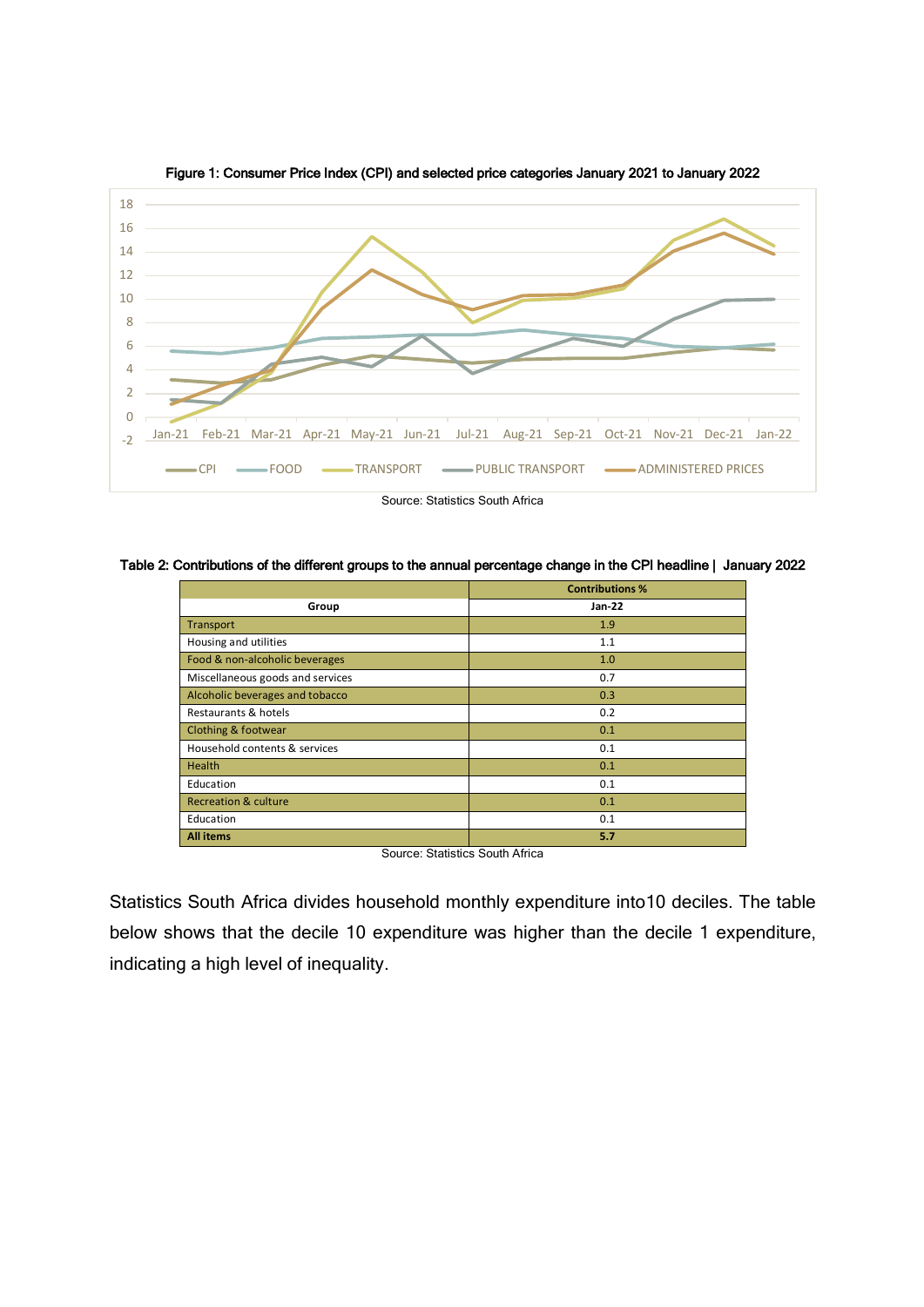

Figure 1: Consumer Price Index (CPI) and selected price categories January 2021 to January 2022

Table 2: Contributions of the different groups to the annual percentage change in the CPI headline | January 2022

|                                  | <b>Contributions %</b> |
|----------------------------------|------------------------|
| Group                            | <b>Jan-22</b>          |
| Transport                        | 1.9                    |
| Housing and utilities            | 1.1                    |
| Food & non-alcoholic beverages   | 1.0                    |
| Miscellaneous goods and services | 0.7                    |
| Alcoholic beverages and tobacco  | 0.3                    |
| Restaurants & hotels             | 0.2                    |
| <b>Clothing &amp; footwear</b>   | 0.1                    |
| Household contents & services    | 0.1                    |
| <b>Health</b>                    | 0.1                    |
| Education                        | 0.1                    |
| <b>Recreation &amp; culture</b>  | 0.1                    |
| Education                        | 0.1                    |
| <b>All items</b>                 | 5.7                    |

Source: Statistics South Africa

Statistics South Africa divides household monthly expenditure into10 deciles. The table below shows that the decile 10 expenditure was higher than the decile 1 expenditure, indicating a high level of inequality.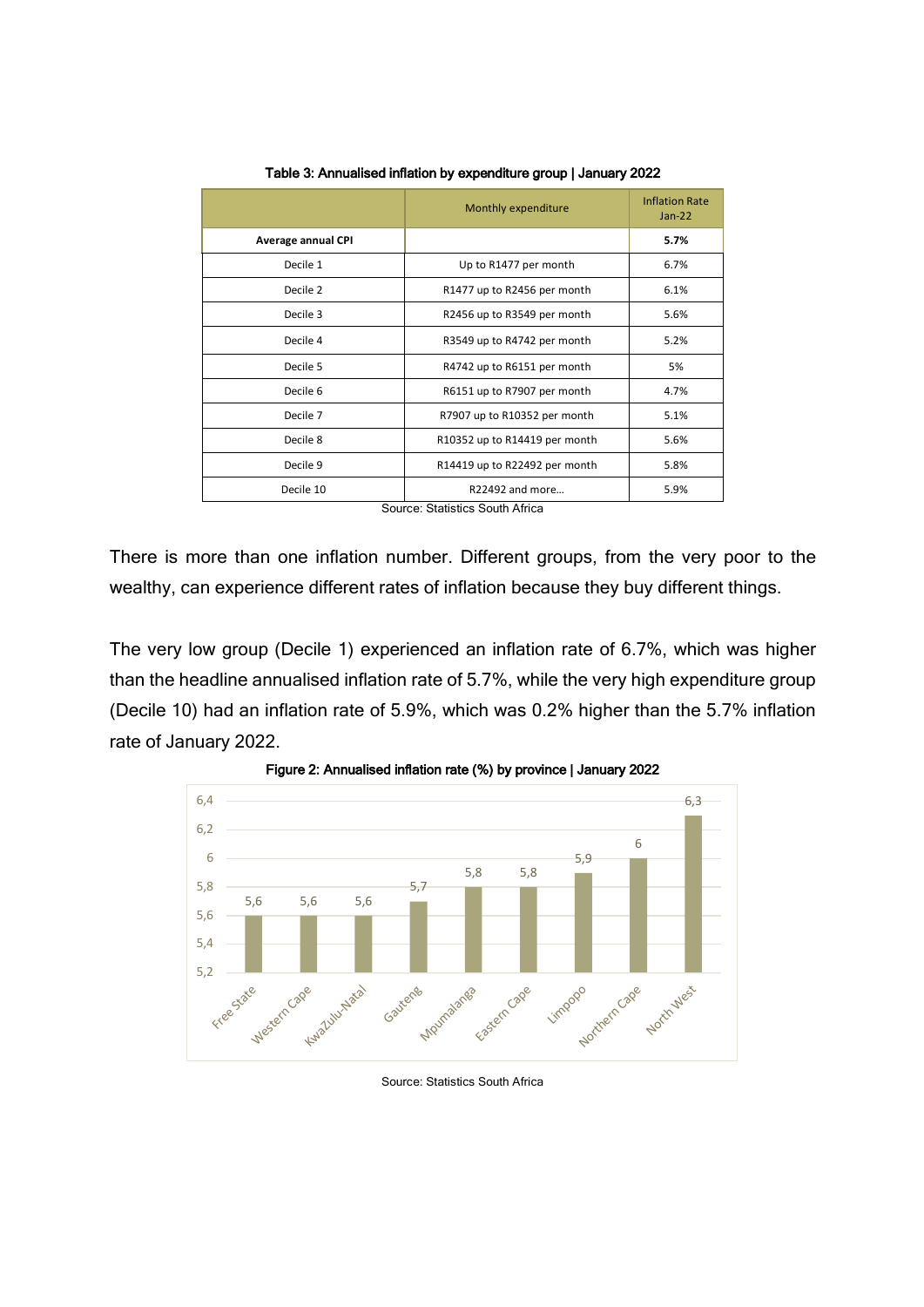| Monthly expenditure           | <b>Inflation Rate</b><br>$Jan-22$ |
|-------------------------------|-----------------------------------|
|                               | 5.7%                              |
| Up to R1477 per month         | 6.7%                              |
| R1477 up to R2456 per month   | 6.1%                              |
| R2456 up to R3549 per month   | 5.6%                              |
| R3549 up to R4742 per month   | 5.2%                              |
| R4742 up to R6151 per month   | 5%                                |
| R6151 up to R7907 per month   | 4.7%                              |
| R7907 up to R10352 per month  | 5.1%                              |
| R10352 up to R14419 per month | 5.6%                              |
| R14419 up to R22492 per month | 5.8%                              |
| R22492 and more               | 5.9%                              |
|                               |                                   |

Table 3: Annualised inflation by expenditure group | January 2022

Source: Statistics South Africa

There is more than one inflation number. Different groups, from the very poor to the wealthy, can experience different rates of inflation because they buy different things.

The very low group (Decile 1) experienced an inflation rate of 6.7%, which was higher than the headline annualised inflation rate of 5.7%, while the very high expenditure group (Decile 10) had an inflation rate of 5.9%, which was 0.2% higher than the 5.7% inflation rate of January 2022.





Source: Statistics South Africa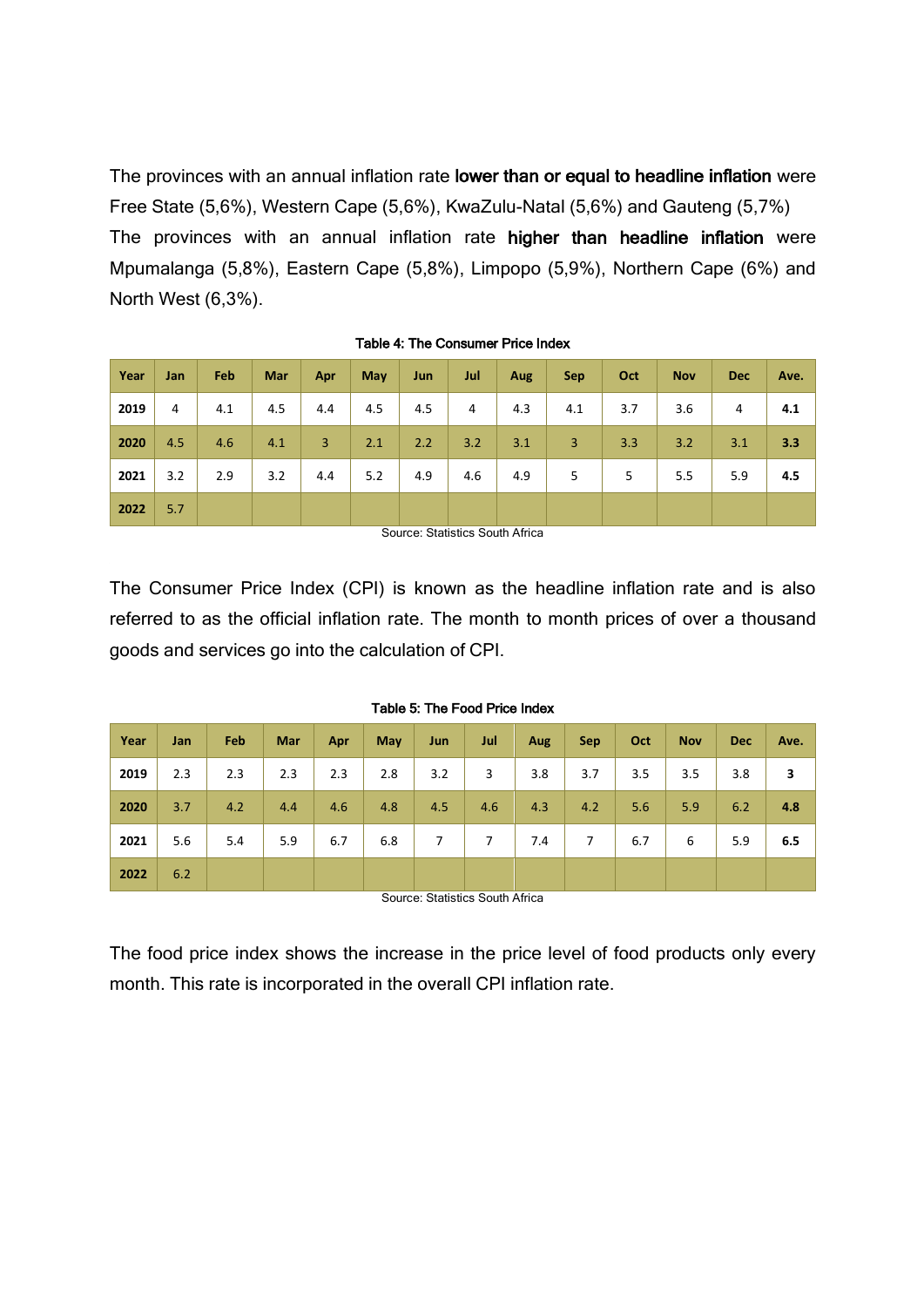The provinces with an annual inflation rate lower than or equal to headline inflation were Free State (5,6%), Western Cape (5,6%), KwaZulu-Natal (5,6%) and Gauteng (5,7%) The provinces with an annual inflation rate higher than headline inflation were Mpumalanga (5,8%), Eastern Cape (5,8%), Limpopo (5,9%), Northern Cape (6%) and North West (6,3%).

| Year | Jan | Feb | Mar | Apr | May | Jun | Jul | Aug | <b>Sep</b> | Oct | <b>Nov</b> | <b>Dec</b> | Ave. |
|------|-----|-----|-----|-----|-----|-----|-----|-----|------------|-----|------------|------------|------|
| 2019 | 4   | 4.1 | 4.5 | 4.4 | 4.5 | 4.5 | 4   | 4.3 | 4.1        | 3.7 | 3.6        | 4          | 4.1  |
| 2020 | 4.5 | 4.6 | 4.1 | 3   | 2.1 | 2.2 | 3.2 | 3.1 | 3          | 3.3 | 3.2        | 3.1        | 3.3  |
| 2021 | 3.2 | 2.9 | 3.2 | 4.4 | 5.2 | 4.9 | 4.6 | 4.9 | 5          | 5   | 5.5        | 5.9        | 4.5  |
| 2022 | 5.7 |     |     |     |     |     |     |     |            |     |            |            |      |

Source: Statistics South Africa

The Consumer Price Index (CPI) is known as the headline inflation rate and is also referred to as the official inflation rate. The month to month prices of over a thousand goods and services go into the calculation of CPI.

| Year | Jan | Feb | Mar | Apr | May | Jun | Jul | <b>Aug</b> | <b>Sep</b> | Oct | <b>Nov</b> | <b>Dec</b> | Ave. |
|------|-----|-----|-----|-----|-----|-----|-----|------------|------------|-----|------------|------------|------|
| 2019 | 2.3 | 2.3 | 2.3 | 2.3 | 2.8 | 3.2 | 3   | 3.8        | 3.7        | 3.5 | 3.5        | 3.8        | 3    |
| 2020 | 3.7 | 4.2 | 4.4 | 4.6 | 4.8 | 4.5 | 4.6 | 4.3        | 4.2        | 5.6 | 5.9        | 6.2        | 4.8  |
| 2021 | 5.6 | 5.4 | 5.9 | 6.7 | 6.8 | 7   | 7   | 7.4        | 7          | 6.7 | 6          | 5.9        | 6.5  |
| 2022 | 6.2 |     |     |     |     |     |     |            |            |     |            |            |      |

Table 5: The Food Price Index

Source: Statistics South Africa

The food price index shows the increase in the price level of food products only every month. This rate is incorporated in the overall CPI inflation rate.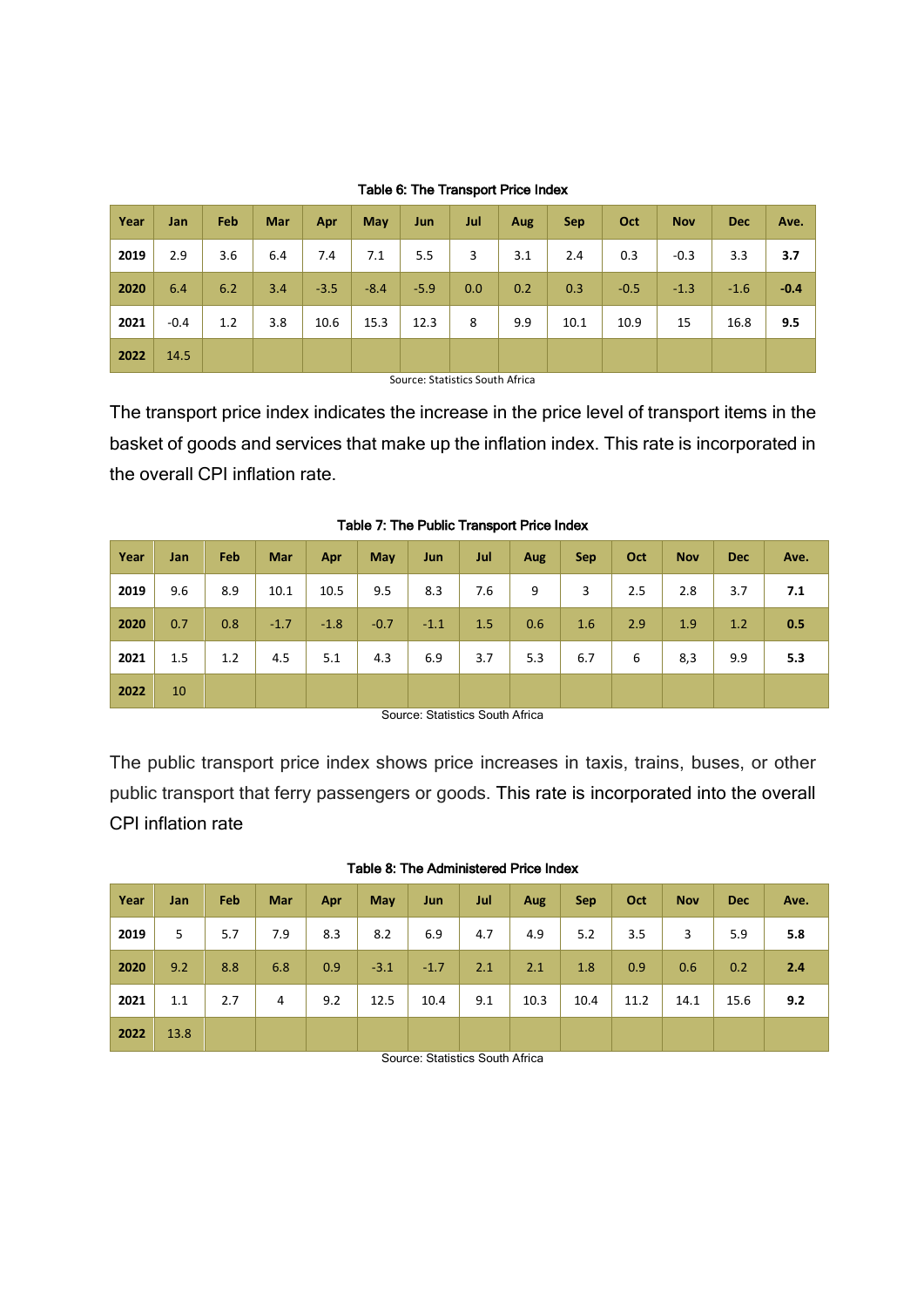| Year | Jan    | Feb | Mar | Apr    | May    | Jun    | Jul | Aug | <b>Sep</b> | Oct    | <b>Nov</b> | <b>Dec</b> | Ave.   |
|------|--------|-----|-----|--------|--------|--------|-----|-----|------------|--------|------------|------------|--------|
| 2019 | 2.9    | 3.6 | 6.4 | 7.4    | 7.1    | 5.5    | 3   | 3.1 | 2.4        | 0.3    | $-0.3$     | 3.3        | 3.7    |
| 2020 | 6.4    | 6.2 | 3.4 | $-3.5$ | $-8.4$ | $-5.9$ | 0.0 | 0.2 | 0.3        | $-0.5$ | $-1.3$     | $-1.6$     | $-0.4$ |
| 2021 | $-0.4$ | 1.2 | 3.8 | 10.6   | 15.3   | 12.3   | 8   | 9.9 | 10.1       | 10.9   | 15         | 16.8       | 9.5    |
| 2022 | 14.5   |     |     |        |        |        |     |     |            |        |            |            |        |

#### Table 6: The Transport Price Index

Source: Statistics South Africa

The transport price index indicates the increase in the price level of transport items in the basket of goods and services that make up the inflation index. This rate is incorporated in the overall CPI inflation rate.

| Year | Jan | Feb | <b>Mar</b> | Apr    | May    | Jun    | Jul | Aug | <b>Sep</b> | Oct | <b>Nov</b> | <b>Dec</b> | Ave. |
|------|-----|-----|------------|--------|--------|--------|-----|-----|------------|-----|------------|------------|------|
| 2019 | 9.6 | 8.9 | 10.1       | 10.5   | 9.5    | 8.3    | 7.6 | 9   | 3          | 2.5 | 2.8        | 3.7        | 7.1  |
| 2020 | 0.7 | 0.8 | $-1.7$     | $-1.8$ | $-0.7$ | $-1.1$ | 1.5 | 0.6 | 1.6        | 2.9 | 1.9        | 1.2        | 0.5  |
| 2021 | 1.5 | 1.2 | 4.5        | 5.1    | 4.3    | 6.9    | 3.7 | 5.3 | 6.7        | 6   | 8,3        | 9.9        | 5.3  |
| 2022 | 10  |     |            |        |        |        |     |     |            |     |            |            |      |

Table 7: The Public Transport Price Index

Source: Statistics South Africa

The public transport price index shows price increases in taxis, trains, buses, or other public transport that ferry passengers or goods. This rate is incorporated into the overall CPI inflation rate

| Year | Jan  | Feb | Mar | Apr | May    | Jun    | Jul | Aug  | <b>Sep</b> | Oct  | <b>Nov</b> | <b>Dec</b> | Ave. |
|------|------|-----|-----|-----|--------|--------|-----|------|------------|------|------------|------------|------|
| 2019 | 5    | 5.7 | 7.9 | 8.3 | 8.2    | 6.9    | 4.7 | 4.9  | 5.2        | 3.5  | 3          | 5.9        | 5.8  |
| 2020 | 9.2  | 8.8 | 6.8 | 0.9 | $-3.1$ | $-1.7$ | 2.1 | 2.1  | 1.8        | 0.9  | 0.6        | 0.2        | 2.4  |
| 2021 | 1.1  | 2.7 | 4   | 9.2 | 12.5   | 10.4   | 9.1 | 10.3 | 10.4       | 11.2 | 14.1       | 15.6       | 9.2  |
| 2022 | 13.8 |     |     |     |        |        |     |      |            |      |            |            |      |

#### Table 8: The Administered Price Index

Source: Statistics South Africa